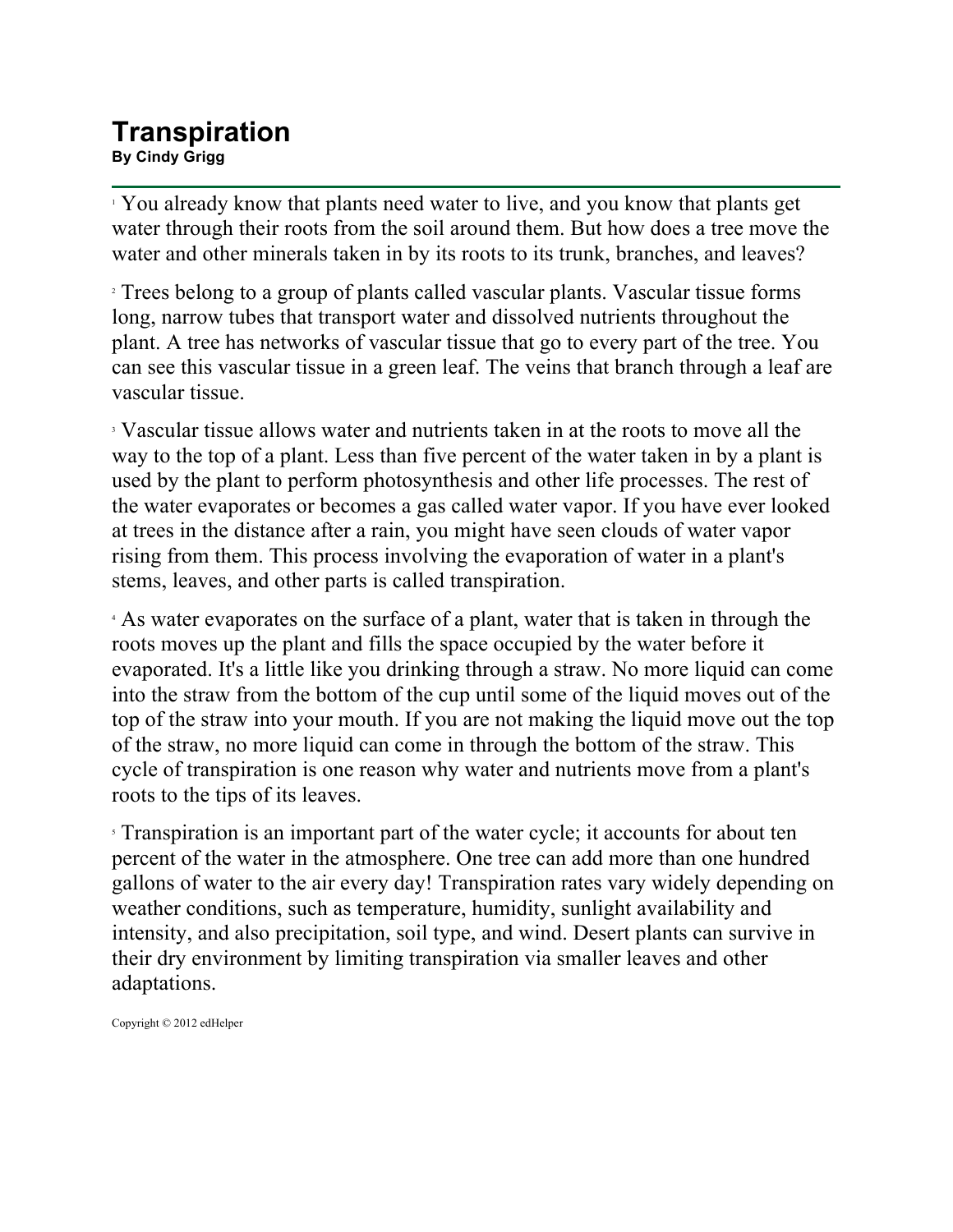## **Transpiration By Cindy Grigg**

<sup>1</sup> You already know that plants need water to live, and you know that plants get water through their roots from the soil around them. But how does a tree move the water and other minerals taken in by its roots to its trunk, branches, and leaves?

<sup>2</sup> Trees belong to a group of plants called vascular plants. Vascular tissue forms long, narrow tubes that transport water and dissolved nutrients throughout the plant. A tree has networks of vascular tissue that go to every part of the tree. You can see this vascular tissue in a green leaf. The veins that branch through a leaf are vascular tissue.

<sup>3</sup> Vascular tissue allows water and nutrients taken in at the roots to move all the way to the top of a plant. Less than five percent of the water taken in by a plant is used by the plant to perform photosynthesis and other life processes. The rest of the water evaporates or becomes a gas called water vapor. If you have ever looked at trees in the distance after a rain, you might have seen clouds of water vapor rising from them. This process involving the evaporation of water in a plant's stems, leaves, and other parts is called transpiration.

<sup>4</sup> As water evaporates on the surface of a plant, water that is taken in through the roots moves up the plant and fills the space occupied by the water before it evaporated. It's a little like you drinking through a straw. No more liquid can come into the straw from the bottom of the cup until some of the liquid moves out of the top of the straw into your mouth. If you are not making the liquid move out the top of the straw, no more liquid can come in through the bottom of the straw. This cycle of transpiration is one reason why water and nutrients move from a plant's roots to the tips of its leaves.

<sup>5</sup> Transpiration is an important part of the water cycle; it accounts for about ten percent of the water in the atmosphere. One tree can add more than one hundred gallons of water to the air every day! Transpiration rates vary widely depending on weather conditions, such as temperature, humidity, sunlight availability and intensity, and also precipitation, soil type, and wind. Desert plants can survive in their dry environment by limiting transpiration via smaller leaves and other adaptations.

Copyright © 2012 edHelper